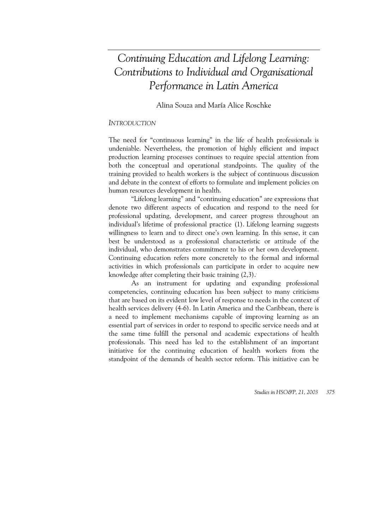# *Continuing Education and Lifelong Learning: Contributions to Individual and Organisational Performance in Latin America*

Alina Souza and María Alice Roschke

# *INTRODUCTION*

The need for "continuous learning" in the life of health professionals is undeniable. Nevertheless, the promotion of highly efficient and impact production learning processes continues to require special attention from both the conceptual and operational standpoints. The quality of the training provided to health workers is the subject of continuous discussion and debate in the context of efforts to formulate and implement policies on human resources development in health.

"Lifelong learning" and "continuing education" are expressions that denote two different aspects of education and respond to the need for professional updating, development, and career progress throughout an individual's lifetime of professional practice (1). Lifelong learning suggests willingness to learn and to direct one's own learning. In this sense, it can best be understood as a professional characteristic or attitude of the individual, who demonstrates commitment to his or her own development. Continuing education refers more concretely to the formal and informal activities in which professionals can participate in order to acquire new knowledge after completing their basic training  $(2,3)$ .

As an instrument for updating and expanding professional competencies, continuing education has been subject to many criticisms that are based on its evident low level of response to needs in the context of health services delivery (4-6). In Latin America and the Caribbean, there is a need to implement mechanisms capable of improving learning as an essential part of services in order to respond to specific service needs and at the same time fulfill the personal and academic expectations of health professionals. This need has led to the establishment of an important initiative for the continuing education of health workers from the standpoint of the demands of health sector reform. This initiative can be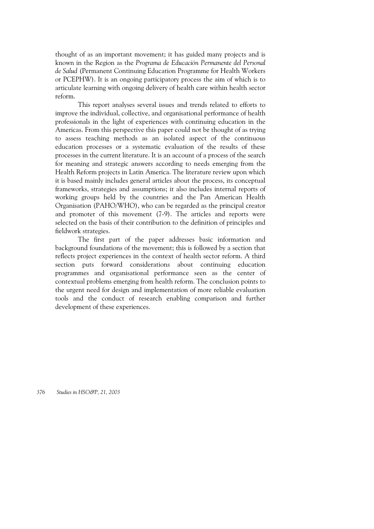thought of as an important movement; it has guided many projects and is known in the Region as the *Programa de Educación Permanente del Personal de Salud* (Permanent Continuing Education Programme for Health Workers or PCEPHW). It is an ongoing participatory process the aim of which is to articulate learning with ongoing delivery of health care within health sector reform.

This report analyses several issues and trends related to efforts to improve the individual, collective, and organisational performance of health professionals in the light of experiences with continuing education in the Americas. From this perspective this paper could not be thought of as trying to assess teaching methods as an isolated aspect of the continuous education processes or a systematic evaluation of the results of these processes in the current literature. It is an account of a process of the search for meaning and strategic answers according to needs emerging from the Health Reform projects in Latin America. The literature review upon which it is based mainly includes general articles about the process, its conceptual frameworks, strategies and assumptions; it also includes internal reports of working groups held by the countries and the Pan American Health Organisation (PAHO/WHO), who can be regarded as the principal creator and promoter of this movement (7-9). The articles and reports were selected on the basis of their contribution to the definition of principles and fieldwork strategies.

The first part of the paper addresses basic information and background foundations of the movement; this is followed by a section that reflects project experiences in the context of health sector reform. A third section puts forward considerations about continuing education programmes and organisational performance seen as the center of contextual problems emerging from health reform. The conclusion points to the urgent need for design and implementation of more reliable evaluation tools and the conduct of research enabling comparison and further development of these experiences.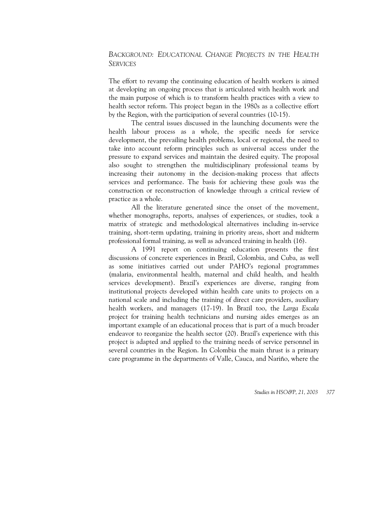# *BACKGROUND: EDUCATIONAL CHANGE PROJECTS IN THE HEALTH SERVICES*

The effort to revamp the continuing education of health workers is aimed at developing an ongoing process that is articulated with health work and the main purpose of which is to transform health practices with a view to health sector reform. This project began in the 1980s as a collective effort by the Region, with the participation of several countries (10-15).

The central issues discussed in the launching documents were the health labour process as a whole, the specific needs for service development, the prevailing health problems, local or regional, the need to take into account reform principles such as universal access under the pressure to expand services and maintain the desired equity. The proposal also sought to strengthen the multidisciplinary professional teams by increasing their autonomy in the decision-making process that affects services and performance. The basis for achieving these goals was the construction or reconstruction of knowledge through a critical review of practice as a whole.

All the literature generated since the onset of the movement, whether monographs, reports, analyses of experiences, or studies, took a matrix of strategic and methodological alternatives including in-service training, short-term updating, training in priority areas, short and midterm professional formal training, as well as advanced training in health (16).

A 1991 report on continuing education presents the first discussions of concrete experiences in Brazil, Colombia, and Cuba, as well as some initiatives carried out under PAHO's regional programmes (malaria, environmental health, maternal and child health, and health services development). Brazil's experiences are diverse, ranging from institutional projects developed within health care units to projects on a national scale and including the training of direct care providers, auxiliary health workers, and managers (17-19). In Brazil too, the *Larga Escala* project for training health technicians and nursing aides emerges as an important example of an educational process that is part of a much broader endeavor to reorganize the health sector (20). Brazil's experience with this project is adapted and applied to the training needs of service personnel in several countries in the Region. In Colombia the main thrust is a primary care programme in the departments of Valle, Cauca, and Nariño, where the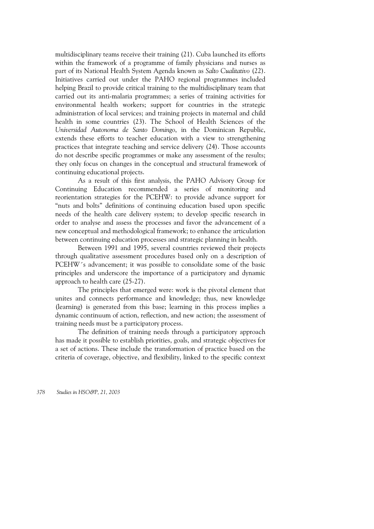multidisciplinary teams receive their training (21). Cuba launched its efforts within the framework of a programme of family physicians and nurses as part of its National Health System Agenda known as *Salto Cualitativo* (22). Initiatives carried out under the PAHO regional programmes included helping Brazil to provide critical training to the multidisciplinary team that carried out its anti-malaria programmes; a series of training activities for environmental health workers; support for countries in the strategic administration of local services; and training projects in maternal and child health in some countries (23). The School of Health Sciences of the *Universidad Autonoma de Santo Domingo*, in the Dominican Republic, extends these efforts to teacher education with a view to strengthening practices that integrate teaching and service delivery (24). Those accounts do not describe specific programmes or make any assessment of the results; they only focus on changes in the conceptual and structural framework of continuing educational projects.

As a result of this first analysis, the PAHO Advisory Group for Continuing Education recommended a series of monitoring and reorientation strategies for the PCEHW: to provide advance support for "nuts and bolts" definitions of continuing education based upon specific needs of the health care delivery system; to develop specific research in order to analyse and assess the processes and favor the advancement of a new conceptual and methodological framework; to enhance the articulation between continuing education processes and strategic planning in health.

Between 1991 and 1995, several countries reviewed their projects through qualitative assessment procedures based only on a description of PCEHW<sup>'s</sup> advancement; it was possible to consolidate some of the basic principles and underscore the importance of a participatory and dynamic approach to health care (25-27).

The principles that emerged were: work is the pivotal element that unites and connects performance and knowledge; thus, new knowledge (learning) is generated from this base; learning in this process implies a dynamic continuum of action, reflection, and new action; the assessment of training needs must be a participatory process.

The definition of training needs through a participatory approach has made it possible to establish priorities, goals, and strategic objectives for a set of actions. These include the transformation of practice based on the criteria of coverage, objective, and flexibility, linked to the specific context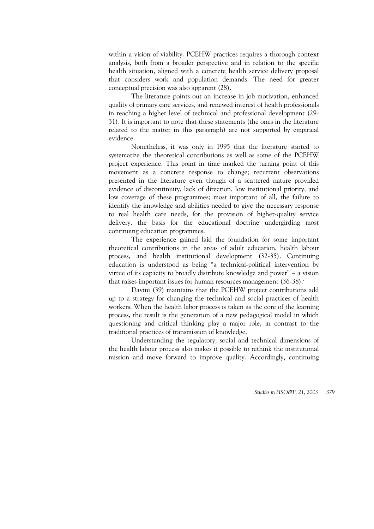within a vision of viability. PCEHW practices requires a thorough context analysis, both from a broader perspective and in relation to the specific health situation, aligned with a concrete health service delivery proposal that considers work and population demands. The need for greater conceptual precision was also apparent (28).

The literature points out an increase in job motivation, enhanced quality of primary care services, and renewed interest of health professionals in reaching a higher level of technical and professional development (29- 31). It is important to note that these statements (the ones in the literature related to the matter in this paragraph) are not supported by empirical evidence.

Nonetheless, it was only in 1995 that the literature started to systematize the theoretical contributions as well as some of the PCEHW project experience. This point in time marked the turning point of this movement as a concrete response to change; recurrent observations presented in the literature even though of a scattered nature provided evidence of discontinuity, lack of direction, low institutional priority, and low coverage of these programmes; most important of all, the failure to identify the knowledge and abilities needed to give the necessary response to real health care needs, for the provision of higher-quality service delivery, the basis for the educational doctrine undergirding most continuing education programmes.

The experience gained laid the foundation for some important theoretical contributions in the areas of adult education, health labour process, and health institutional development (32-35). Continuing education is understood as being "a technical-political intervention by virtue of its capacity to broadly distribute knowledge and power" – a vision that raises important issues for human resources management (36-38).

Davini (39) maintains that the PCEHW project contributions add up to a strategy for changing the technical and social practices of health workers. When the health labor process is taken as the core of the learning process, the result is the generation of a new pedagogical model in which questioning and critical thinking play a major role, in contrast to the traditional practices of transmission of knowledge.

Understanding the regulatory, social and technical dimensions of the health labour process also makes it possible to rethink the institutional mission and move forward to improve quality. Accordingly, continuing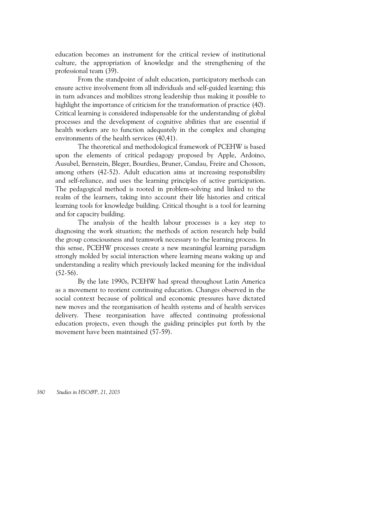education becomes an instrument for the critical review of institutional culture, the appropriation of knowledge and the strengthening of the professional team (39).

From the standpoint of adult education, participatory methods can ensure active involvement from all individuals and self-guided learning; this in turn advances and mobilizes strong leadership thus making it possible to highlight the importance of criticism for the transformation of practice (40). Critical learning is considered indispensable for the understanding of global processes and the development of cognitive abilities that are essential if health workers are to function adequately in the complex and changing environments of the health services (40,41).

The theoretical and methodological framework of PCEHW is based upon the elements of critical pedagogy proposed by Apple, Ardoino, Ausubel, Bernstein, Bleger, Bourdieu, Bruner, Candau, Freire and Chosson, among others (42-52). Adult education aims at increasing responsibility and self-reliance, and uses the learning principles of active participation. The pedagogical method is rooted in problem-solving and linked to the realm of the learners, taking into account their life histories and critical learning tools for knowledge building. Critical thought is a tool for learning and for capacity building.

The analysis of the health labour processes is a key step to diagnosing the work situation; the methods of action research help build the group consciousness and teamwork necessary to the learning process. In this sense, PCEHW processes create a new meaningful learning paradigm strongly molded by social interaction where learning means waking up and understanding a reality which previously lacked meaning for the individual  $(52-56)$ .

By the late 1990s, PCEHW had spread throughout Latin America as a movement to reorient continuing education. Changes observed in the social context because of political and economic pressures have dictated new moves and the reorganisation of health systems and of health services delivery. These reorganisation have affected continuing professional education projects, even though the guiding principles put forth by the movement have been maintained (57-59).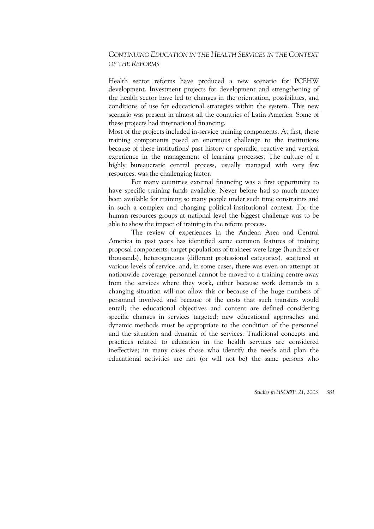# *CONTINUING EDUCATION IN THE HEALTH SERVICES IN THE CONTEXT OF THE REFORMS*

Health sector reforms have produced a new scenario for PCEHW development. Investment projects for development and strengthening of the health sector have led to changes in the orientation, possibilities, and conditions of use for educational strategies within the system. This new scenario was present in almost all the countries of Latin America. Some of these projects had international financing.

Most of the projects included in-service training components. At first, these training components posed an enormous challenge to the institutions because of these institutions' past history or sporadic, reactive and vertical experience in the management of learning processes. The culture of a highly bureaucratic central process, usually managed with very few resources, was the challenging factor.

For many countries external financing was a first opportunity to have specific training funds available. Never before had so much money been available for training so many people under such time constraints and in such a complex and changing political-institutional context. For the human resources groups at national level the biggest challenge was to be able to show the impact of training in the reform process.

The review of experiences in the Andean Area and Central America in past years has identified some common features of training proposal components: target populations of trainees were large (hundreds or thousands), heterogeneous (different professional categories), scattered at various levels of service, and, in some cases, there was even an attempt at nationwide coverage; personnel cannot be moved to a training centre away from the services where they work, either because work demands in a changing situation will not allow this or because of the huge numbers of personnel involved and because of the costs that such transfers would entail; the educational objectives and content are defined considering specific changes in services targeted; new educational approaches and dynamic methods must be appropriate to the condition of the personnel and the situation and dynamic of the services. Traditional concepts and practices related to education in the health services are considered ineffective; in many cases those who identify the needs and plan the educational activities are not (or will not be) the same persons who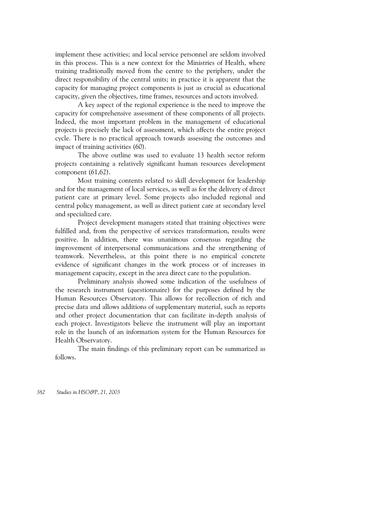implement these activities; and local service personnel are seldom involved in this process. This is a new context for the Ministries of Health, where training traditionally moved from the centre to the periphery, under the direct responsibility of the central units; in practice it is apparent that the capacity for managing project components is just as crucial as educational capacity, given the objectives, time frames, resources and actors involved.

A key aspect of the regional experience is the need to improve the capacity for comprehensive assessment of these components of all projects. Indeed, the most important problem in the management of educational projects is precisely the lack of assessment, which affects the entire project cycle. There is no practical approach towards assessing the outcomes and impact of training activities (60).

The above outline was used to evaluate 13 health sector reform projects containing a relatively significant human resources development component (61,62).

Most training contents related to skill development for leadership and for the management of local services, as well as for the delivery of direct patient care at primary level. Some projects also included regional and central policy management, as well as direct patient care at secondary level and specialized care.

Project development managers stated that training objectives were fulfilled and, from the perspective of services transformation, results were positive. In addition, there was unanimous consensus regarding the improvement of interpersonal communications and the strengthening of teamwork. Nevertheless, at this point there is no empirical concrete evidence of significant changes in the work process or of increases in management capacity, except in the area direct care to the population.

Preliminary analysis showed some indication of the usefulness of the research instrument (questionnaire) for the purposes defined by the Human Resources Observatory. This allows for recollection of rich and precise data and allows additions of supplementary material, such as reports and other project documentation that can facilitate in-depth analysis of each project. Investigators believe the instrument will play an important role in the launch of an information system for the Human Resources for Health Observatory.

The main findings of this preliminary report can be summarized as follows.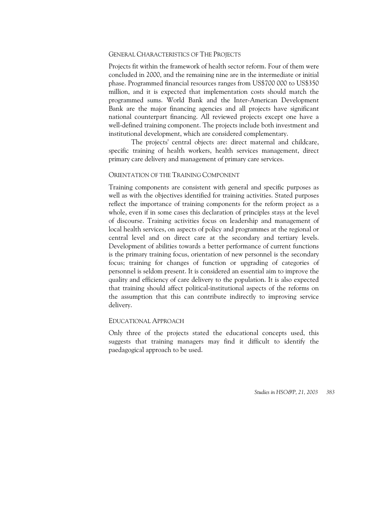#### GENERAL CHARACTERISTICS OF THE PROJECTS

Projects fit within the framework of health sector reform. Four of them were concluded in 2000, and the remaining nine are in the intermediate or initial phase. Programmed financial resources ranges from US\$700 000 to US\$350 million, and it is expected that implementation costs should match the programmed sums. World Bank and the Inter-American Development Bank are the major financing agencies and all projects have significant national counterpart financing. All reviewed projects except one have a well-defined training component. The projects include both investment and institutional development, which are considered complementary.

The projects' central objects are: direct maternal and childcare, specific training of health workers, health services management, direct primary care delivery and management of primary care services.

#### ORIENTATION OF THE TRAINING COMPONENT

Training components are consistent with general and specific purposes as well as with the objectives identified for training activities. Stated purposes reflect the importance of training components for the reform project as a whole, even if in some cases this declaration of principles stays at the level of discourse. Training activities focus on leadership and management of local health services, on aspects of policy and programmes at the regional or central level and on direct care at the secondary and tertiary levels. Development of abilities towards a better performance of current functions is the primary training focus, orientation of new personnel is the secondary focus; training for changes of function or upgrading of categories of personnel is seldom present. It is considered an essential aim to improve the quality and efficiency of care delivery to the population. It is also expected that training should affect political-institutional aspects of the reforms on the assumption that this can contribute indirectly to improving service delivery.

#### EDUCATIONAL APPROACH

Only three of the projects stated the educational concepts used, this suggests that training managers may find it difficult to identify the paedagogical approach to be used.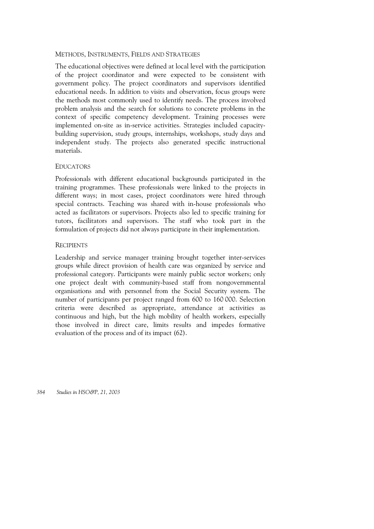## METHODS, INSTRUMENTS, FIELDS AND STRATEGIES

The educational objectives were defined at local level with the participation of the project coordinator and were expected to be consistent with government policy. The project coordinators and supervisors identified educational needs. In addition to visits and observation, focus groups were the methods most commonly used to identify needs. The process involved problem analysis and the search for solutions to concrete problems in the context of specific competency development. Training processes were implemented on-site as in-service activities. Strategies included capacitybuilding supervision, study groups, internships, workshops, study days and independent study. The projects also generated specific instructional materials.

## **EDUCATORS**

Professionals with different educational backgrounds participated in the training programmes. These professionals were linked to the projects in different ways; in most cases, project coordinators were hired through special contracts. Teaching was shared with in-house professionals who acted as facilitators or supervisors. Projects also led to specific training for tutors, facilitators and supervisors. The staff who took part in the formulation of projects did not always participate in their implementation.

## **RECIPIENTS**

Leadership and service manager training brought together inter-services groups while direct provision of health care was organized by service and professional category. Participants were mainly public sector workers; only one project dealt with community-based staff from nongovernmental organisations and with personnel from the Social Security system. The number of participants per project ranged from 600 to 160 000. Selection criteria were described as appropriate, attendance at activities as continuous and high, but the high mobility of health workers, especially those involved in direct care, limits results and impedes formative evaluation of the process and of its impact (62).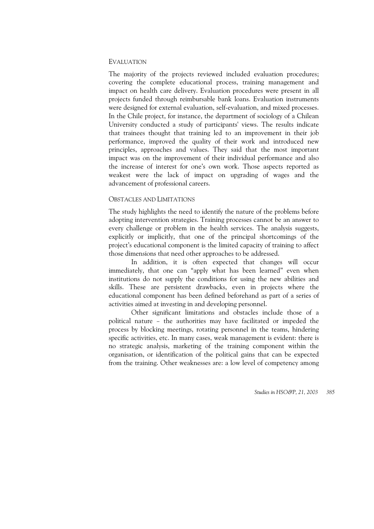## EVALUATION

The majority of the projects reviewed included evaluation procedures; covering the complete educational process, training management and impact on health care delivery. Evaluation procedures were present in all projects funded through reimbursable bank loans. Evaluation instruments were designed for external evaluation, self-evaluation, and mixed processes. In the Chile project, for instance, the department of sociology of a Chilean University conducted a study of participants' views. The results indicate that trainees thought that training led to an improvement in their job performance, improved the quality of their work and introduced new principles, approaches and values. They said that the most important impact was on the improvement of their individual performance and also the increase of interest for one's own work. Those aspects reported as weakest were the lack of impact on upgrading of wages and the advancement of professional careers.

#### OBSTACLES AND LIMITATIONS

The study highlights the need to identify the nature of the problems before adopting intervention strategies. Training processes cannot be an answer to every challenge or problem in the health services. The analysis suggests, explicitly or implicitly, that one of the principal shortcomings of the project's educational component is the limited capacity of training to affect those dimensions that need other approaches to be addressed.

In addition, it is often expected that changes will occur immediately, that one can "apply what has been learned" even when institutions do not supply the conditions for using the new abilities and skills. These are persistent drawbacks, even in projects where the educational component has been defined beforehand as part of a series of activities aimed at investing in and developing personnel.

Other significant limitations and obstacles include those of a political nature – the authorities may have facilitated or impeded the process by blocking meetings, rotating personnel in the teams, hindering specific activities, etc. In many cases, weak management is evident: there is no strategic analysis, marketing of the training component within the organisation, or identification of the political gains that can be expected from the training. Other weaknesses are: a low level of competency among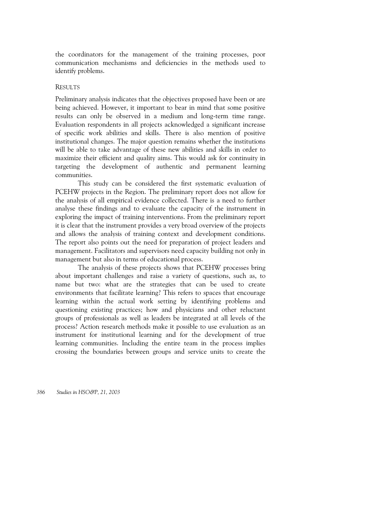the coordinators for the management of the training processes, poor communication mechanisms and deficiencies in the methods used to identify problems.

## **RESULTS**

Preliminary analysis indicates that the objectives proposed have been or are being achieved. However, it important to bear in mind that some positive results can only be observed in a medium and long-term time range. Evaluation respondents in all projects acknowledged a significant increase of specific work abilities and skills. There is also mention of positive institutional changes. The major question remains whether the institutions will be able to take advantage of these new abilities and skills in order to maximize their efficient and quality aims. This would ask for continuity in targeting the development of authentic and permanent learning communities.

This study can be considered the first systematic evaluation of PCEHW projects in the Region. The preliminary report does not allow for the analysis of all empirical evidence collected. There is a need to further analyse these findings and to evaluate the capacity of the instrument in exploring the impact of training interventions. From the preliminary report it is clear that the instrument provides a very broad overview of the projects and allows the analysis of training context and development conditions. The report also points out the need for preparation of project leaders and management. Facilitators and supervisors need capacity building not only in management but also in terms of educational process.

The analysis of these projects shows that PCEHW processes bring about important challenges and raise a variety of questions, such as, to name but two: what are the strategies that can be used to create environments that facilitate learning? This refers to spaces that encourage learning within the actual work setting by identifying problems and questioning existing practices; how and physicians and other reluctant groups of professionals as well as leaders be integrated at all levels of the process? Action research methods make it possible to use evaluation as an instrument for institutional learning and for the development of true learning communities. Including the entire team in the process implies crossing the boundaries between groups and service units to create the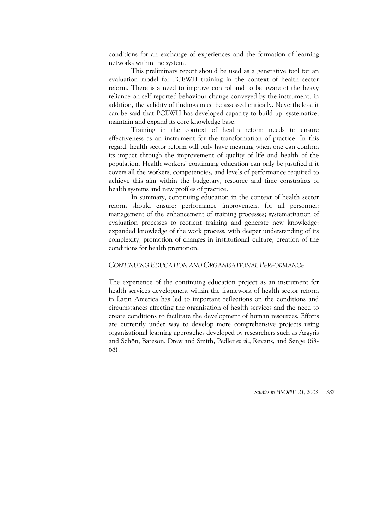conditions for an exchange of experiences and the formation of learning networks within the system.

This preliminary report should be used as a generative tool for an evaluation model for PCEWH training in the context of health sector reform. There is a need to improve control and to be aware of the heavy reliance on self-reported behaviour change conveyed by the instrument; in addition, the validity of findings must be assessed critically. Nevertheless, it can be said that PCEWH has developed capacity to build up, systematize, maintain and expand its core knowledge base.

Training in the context of health reform needs to ensure effectiveness as an instrument for the transformation of practice. In this regard, health sector reform will only have meaning when one can confirm its impact through the improvement of quality of life and health of the population. Health workers' continuing education can only be justified if it covers all the workers, competencies, and levels of performance required to achieve this aim within the budgetary, resource and time constraints of health systems and new profiles of practice.

In summary, continuing education in the context of health sector reform should ensure: performance improvement for all personnel; management of the enhancement of training processes; systematization of evaluation processes to reorient training and generate new knowledge; expanded knowledge of the work process, with deeper understanding of its complexity; promotion of changes in institutional culture; creation of the conditions for health promotion.

## *CONTINUING EDUCATION AND ORGANISATIONAL PERFORMANCE*

The experience of the continuing education project as an instrument for health services development within the framework of health sector reform in Latin America has led to important reflections on the conditions and circumstances affecting the organisation of health services and the need to create conditions to facilitate the development of human resources. Efforts are currently under way to develop more comprehensive projects using organisational learning approaches developed by researchers such as Argyris and Schön, Bateson, Drew and Smith, Pedler *et al.*, Revans, and Senge (63- 68).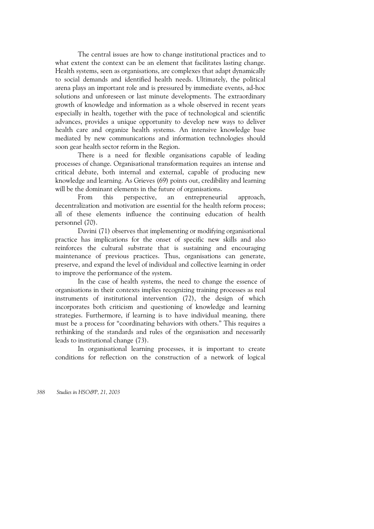The central issues are how to change institutional practices and to what extent the context can be an element that facilitates lasting change. Health systems, seen as organisations, are complexes that adapt dynamically to social demands and identified health needs. Ultimately, the political arena plays an important role and is pressured by immediate events, ad-hoc solutions and unforeseen or last minute developments. The extraordinary growth of knowledge and information as a whole observed in recent years especially in health, together with the pace of technological and scientific advances, provides a unique opportunity to develop new ways to deliver health care and organize health systems. An intensive knowledge base mediated by new communications and information technologies should soon gear health sector reform in the Region.

There is a need for flexible organisations capable of leading processes of change. Organisational transformation requires an intense and critical debate, both internal and external, capable of producing new knowledge and learning. As Grieves (69) points out, credibility and learning will be the dominant elements in the future of organisations.

From this perspective, an entrepreneurial approach, decentralization and motivation are essential for the health reform process; all of these elements influence the continuing education of health personnel (70).

Davini (71) observes that implementing or modifying organisational practice has implications for the onset of specific new skills and also reinforces the cultural substrate that is sustaining and encouraging maintenance of previous practices. Thus, organisations can generate, preserve, and expand the level of individual and collective learning in order to improve the performance of the system.

In the case of health systems, the need to change the essence of organisations in their contexts implies recognizing training processes as real instruments of institutional intervention (72), the design of which incorporates both criticism and questioning of knowledge and learning strategies. Furthermore, if learning is to have individual meaning, there must be a process for "coordinating behaviors with others." This requires a rethinking of the standards and rules of the organisation and necessarily leads to institutional change (73).

In organisational learning processes, it is important to create conditions for reflection on the construction of a network of logical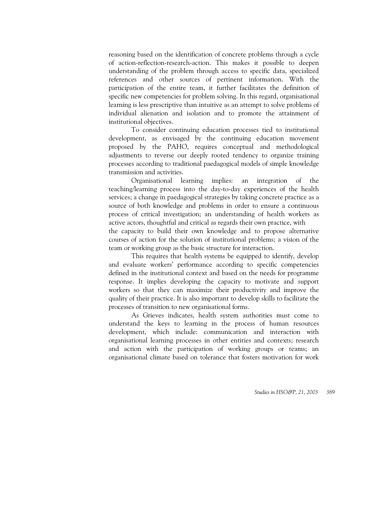reasoning based on the identification of concrete problems through a cycle of action-reflection-research-action. This makes it possible to deepen understanding of the problem through access to specific data, specialized references and other sources of pertinent information. With the participation of the entire team, it further facilitates the definition of specific new competencies for problem solving. In this regard, organisational learning is less prescriptive than intuitive as an attempt to solve problems of individual alienation and isolation and to promote the attainment of institutional objectives.

To consider continuing education processes tied to institutional development, as envisaged by the continuing education movement proposed by the PAHO, requires conceptual and methodological adjustments to reverse our deeply rooted tendency to organize training processes according to traditional paedagogical models of simple knowledge transmission and activities.

Organisational learning implies: an integration of the teaching/learning process into the day-to-day experiences of the health services; a change in paedagogical strategies by taking concrete practice as a source of both knowledge and problems in order to ensure a continuous process of critical investigation; an understanding of health workers as active actors, thoughtful and critical as regards their own practice, with the capacity to build their own knowledge and to propose alternative courses of action for the solution of institutional problems; a vision of the team or working group as the basic structure for interaction.

This requires that health systems be equipped to identify, develop and evaluate workers' performance according to specific competencies defined in the institutional context and based on the needs for programme response. It implies developing the capacity to motivate and support workers so that they can maximize their productivity and improve the quality of their practice. It is also important to develop skills to facilitate the processes of transition to new organisational forms.

As Grieves indicates, health system authorities must come to understand the keys to learning in the process of human resources development, which include: communication and interaction with organisational learning processes in other entities and contexts; research and action with the participation of working groups or teams; an organisational climate based on tolerance that fosters motivation for work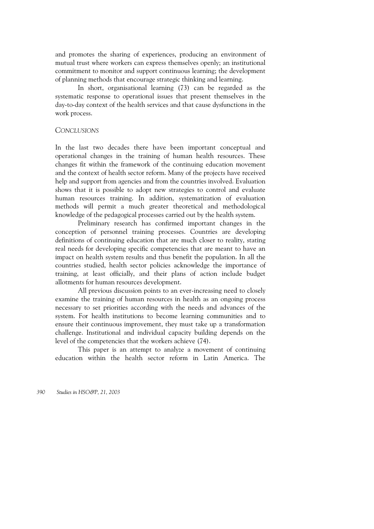and promotes the sharing of experiences, producing an environment of mutual trust where workers can express themselves openly; an institutional commitment to monitor and support continuous learning; the development of planning methods that encourage strategic thinking and learning.

In short, organisational learning (73) can be regarded as the systematic response to operational issues that present themselves in the day-to-day context of the health services and that cause dysfunctions in the work process.

#### *CONCLUSIONS*

In the last two decades there have been important conceptual and operational changes in the training of human health resources. These changes fit within the framework of the continuing education movement and the context of health sector reform. Many of the projects have received help and support from agencies and from the countries involved. Evaluation shows that it is possible to adopt new strategies to control and evaluate human resources training. In addition, systematization of evaluation methods will permit a much greater theoretical and methodological knowledge of the pedagogical processes carried out by the health system.

Preliminary research has confirmed important changes in the conception of personnel training processes. Countries are developing definitions of continuing education that are much closer to reality, stating real needs for developing specific competencies that are meant to have an impact on health system results and thus benefit the population. In all the countries studied, health sector policies acknowledge the importance of training, at least officially, and their plans of action include budget allotments for human resources development.

All previous discussion points to an ever-increasing need to closely examine the training of human resources in health as an ongoing process necessary to set priorities according with the needs and advances of the system. For health institutions to become learning communities and to ensure their continuous improvement, they must take up a transformation challenge. Institutional and individual capacity building depends on the level of the competencies that the workers achieve (74).

This paper is an attempt to analyze a movement of continuing education within the health sector reform in Latin America. The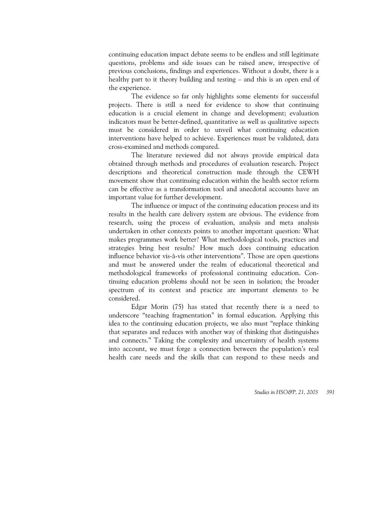continuing education impact debate seems to be endless and still legitimate questions, problems and side issues can be raised anew, irrespective of previous conclusions, findings and experiences. Without a doubt, there is a healthy part to it theory building and testing – and this is an open end of the experience.

The evidence so far only highlights some elements for successful projects. There is still a need for evidence to show that continuing education is a crucial element in change and development; evaluation indicators must be better-defined, quantitative as well as qualitative aspects must be considered in order to unveil what continuing education interventions have helped to achieve. Experiences must be validated, data cross-examined and methods compared.

The literature reviewed did not always provide empirical data obtained through methods and procedures of evaluation research. Project descriptions and theoretical construction made through the CEWH movement show that continuing education within the health sector reform can be effective as a transformation tool and anecdotal accounts have an important value for further development.

The influence or impact of the continuing education process and its results in the health care delivery system are obvious. The evidence from research, using the process of evaluation, analysis and meta analysis undertaken in other contexts points to another important question: What makes programmes work better? What methodological tools, practices and strategies bring best results? How much does continuing education influence behavior vis-à-vis other interventions". Those are open questions and must be answered under the realm of educational theoretical and methodological frameworks of professional continuing education. Continuing education problems should not be seen in isolation; the broader spectrum of its context and practice are important elements to be considered.

Edgar Morin (75) has stated that recently there is a need to underscore "teaching fragmentation" in formal education. Applying this idea to the continuing education projects, we also must "replace thinking that separates and reduces with another way of thinking that distinguishes and connects." Taking the complexity and uncertainty of health systems into account, we must forge a connection between the population's real health care needs and the skills that can respond to these needs and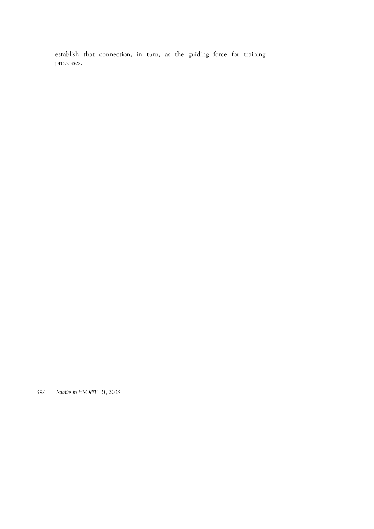establish that connection, in turn, as the guiding force for training processes.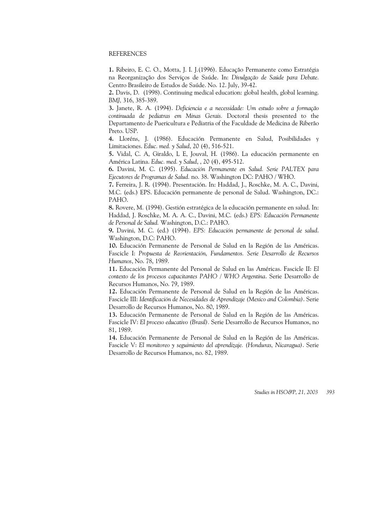#### REFERENCES

**1.** Ribeiro, E. C. O., Motta, J. I. J.(1996). Educação Permanente como Estratégia na Reorganização dos Serviços de Saúde. In: *Divulgação de Saúde para Debate.* Centro Brasileiro de Estudos de Saúde. No. 12. July, 39-42.

**2.** Davis, D. (1998). Continuing medical education: global health, global learning. *BMJ,* 316, 385-389.

**3.** Janete, R. A. (1994). *Deficiencia e a necessidade: Um estudo sobre a formação continuada de pediatras em Minas Gerais.* Doctoral thesis presented to the Departamento de Puericultura e Pediatria of the Faculdade de Medicina de Riberão Preto. USP.

**4.** Lloréns, J. (1986). Educación Permanente en Salud, Posibilidades y Limitaciones. *Educ. med. y Salud*, 20 (4), 516-521.

**5.** Vidal, C. A, Giraldo, L E, Jouval, H. (1986). La educación permanente en América Latina. *Educ. med. y Salud*, , 20 (4), 495-512.

**6.** Davini, M. C. (1995). *Educación Permanente en Salud. Serie PALTEX para Ejecutores de Programas de Salud.* no. 38. Washington DC: PAHO / WHO.

**7.** Ferreira, J. R. (1994). Presentación. In: Haddad, J., Roschke, M. A. C., Davini, M.C. (eds.) EPS. Educación permanente de personal de Salud. Washington, DC.: PAHO.

**8.** Rovere, M. (1994). Gestión estratégica de la educación permanente en salud. In: Haddad, J. Roschke, M. A. A. C., Davini, M.C. (eds.) *EPS: Educación Permanente de Personal de Salud.* Washington, D.C.: PAHO.

**9.** Davini, M. C. (ed.) (1994). *EPS: Educación permanente de personal de salud*. Washington, D.C: PAHO.

**10.** Educación Permanente de Personal de Salud en la Región de las Américas. Fascicle I: *Propuesta de Reorientación, Fundamentos. Serie Desarrollo de Recursos Humanos*, No. 78, 1989.

**11.** Educación Permanente del Personal de Salud en las Américas. Fascicle II: *El contexto de los procesos capacitantes PAHO / WHO Argentina*. Serie Desarrollo de Recursos Humanos, No. 79, 1989.

**12.** Educación Permanente de Personal de Salud en la Región de las Américas. Fascicle III: *Identificación de Necesidades de Aprendizaje (Mexico and Colombia)*. Serie Desarrollo de Recursos Humanos, No. 80, 1989.

**13.** Educación Permanente de Personal de Salud en la Región de las Américas. Fascicle IV: *El proceso educativo (Brasil).* Serie Desarrollo de Recursos Humanos, no 81, 1989.

**14.** Educación Permanente de Personal de Salud en la Región de las Américas. Fascicle V: *El monitoreo y seguimiento del aprendizaje. (Honduras, Nicaragua)*. Serie Desarrollo de Recursos Humanos, no. 82, 1989.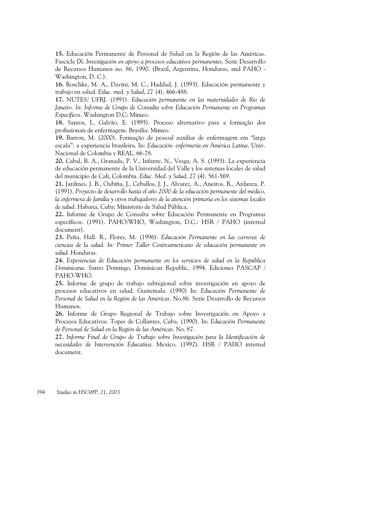**15.** Educación Permanente de Personal de Salud en la Región de las Américas. Fascicle IX: *Investigación en apoyo a procesos educativos permanentes*. Serie Desarrollo de Recursos Humanos no. 86, 1990. (Brazil, Argentina, Honduras, and PAHO - Washington, D. C.).

**16.** Roschke, M. A., Davini, M. C., Haddad, J. (1993). Educación permanente y trabajo en salud. *Educ. med. y Salud*, 27 (4), 466-488.

**17.** NUTES/ UFRJ. (1991). *Educación permanente en las maternidades de Rio de Janeiro. In: Informe de Grupo de Consulta sobre Educación Permanente en Programas Específicos*. Washington D.C: Mimeo.

**18.** Santos, I., Galvão, E. (1995). Proceso alternativo para a formação dos profissionais de enfermagem. Brasilia: Mimeo.

**19.** Barron, M. (2000). Formação de pessoal auxiliar de enfermagem em "larga escala": a experiencia brasileira. In: *Educación: enfermería en América Latina*. Univ. Nacional de Colombia y REAL, 66-78.

**20.** Cabal, B. A., Granada, P. V., Infante, N., Vesga, A. S. (1993). La experiencia de educación permanente de la Universidad del Valle y los sistemas locales de salud del municipio de Cali, Colombia. *Educ. Med. y Salud*, 27 (4), 561-569.

**21.** Jardines, J. B., Oubiña, J., Ceballos, J. J., Alvarez, A., Aneiros, R., Ardanza, P. (1991). *Proyecto de desarrollo hasta el año 2000 de la educación permanente del médico, la enfermera de familia y otros trabajadores de la atención primaria en los sistemas locales de salud*. Habana, Cuba: Ministerio de Salud Pública.

**22.** Informe de Grupo de Consulta sobre Educación Permanente en Programas específicos. (1991). PAHO/WHO, Washington, D.C.: HSR / PAHO (internal document).

**23.** Peña, Hall. R., Flores, M. (1996). *Educación Permanente en las carreras de ciencias de la salud. In: Primer Taller Centroamericano de educación permanente en salud.* Honduras.

**24.** *Experiencias de Educación permanente en los servicios de salud en la República Dominicana.* Santo Domingo, Dominican Republic, 1994. Ediciones PASCAP / PAHO-WHO.

**25.** Informe de grupo de trabajo subregional sobre investigación en apoyo de procesos educativos en salud. Guatemala. (1990) In: *Educación Permanente de Personal de Salud en la Región de las Américas*. No.86. Serie Desarrollo de Recursos Humanos.

**26.** Informe de Grupo Regional de Trabajo sobre Investigación en Apoyo a Procesos Educativos. Topes de Collantes, Cuba. (1990). In: *Educación Permanente de Personal de Salud en la Región de las Américas*. No. 87.

**27.** *Informe Final de Grupo de Trabajo sobre Investigación para la Identificación de necesidades de Intervención Educativa*. Mexico. (1992). HSR / PAHO internal document.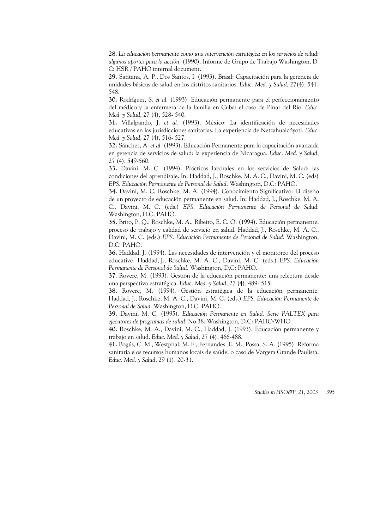**28**. *La educación permanente como una intervención estratégica en los servicios de salud: algunos aportes para la acción*. (1990). Informe de Grupo de Trabajo Washington, D. C: HSR / PAHO internal document.

**29.** Santana, A. P., Dos Santos, I. (1993). Brasil: Capacitación para la gerencia de unidades básicas de salud en los distritos sanitarios. *Educ. Med. y Salud*, 27(4), 541- 548.

**30.** Rodríguez, S. *et al.* (1993). Educación permanente para el perfeccionamiento del médico y la enfermera de la familia en Cuba: el caso de Pinar del Río. *Educ. Med. y Salud*, 27 (4), 528- 540.

**31.** Villalpando, J. *et al.* (1993). México: La identificación de necesidades educativas en las jurisdicciones sanitarias. La experiencia de Netzahualcóyotl. *Educ. Med. y Salud*, 27 (4), 516- 527.

**32.** Sánchez, A. *et al.* (1993). Educación Permanente para la capacitación avanzada en gerencia de servicios de salud: la experiencia de Nicaragua. *Educ. Med. y Salud*, 27 (4), 549-560.

**33.** Davini, M. C. (1994). Prácticas laborales en los servicios de Salud: las condiciones del aprendizaje. In: Haddad, J., Roschke, M. A. C., Davini, M. C. (eds) *EPS. Educación Permanente de Personal de Salud.* Washington, D.C: PAHO.

**34.** Davini, M. C, Roschke, M. A. (1994). Conocimiento Significativo: El diseño de un proyecto de educación permanente en salud. In: Haddad, J., Roschke, M. A. C., Davini, M. C. (eds.) *EPS. Educación Permanente de Personal de Salud.* Washington, D.C: PAHO.

**35.** Brito, P. Q., Roschke, M. A., Ribeiro, E. C. O. (1994). Educación permanente, proceso de trabajo y calidad de servicio en salud. Haddad, J., Roschke, M. A. C., Davini, M. C. (eds.) *EPS. Educación Permanente de Personal de Salud.* Washington, D.C: PAHO.

**36.** Haddad, J. (1994). Las necesidades de intervención y el monitoreo del proceso educativo. Haddad, J., Roschke, M. A. C., Davini, M. C. (eds.) *EPS. Educación Permanente de Personal de Salud.* Washington, D.C: PAHO.

**37**. Rovere, M. (1993). Gestión de la educación permanente: una relectura desde una perspectiva estratégica. *Educ. Med. y Salud*, 27 (4), 489- 515.

**38.** Rovere, M. (1994). Gestión estratégica de la educación permanente. Haddad, J., Roschke, M. A. C., Davini, M. C. (eds.) *EPS. Educación Permanente de Personal de Salud.* Washington, D.C: PAHO.

**39.** Davini, M. C. (1995). *Educación Permanente en Salud. Serie PALTEX para ejecutores de programas de salud*. No.38. Washington, D.C: PAHO/WHO.

**40.** Roschke, M. A., Davini, M. C., Haddad, J. (1993). Educación permanente y trabajo en salud. *Educ. Med. y Salud*, 27 (4), 466-488.

**41.** Bogús, C. M., Westphal, M. F., Fernandes, E. M., Possa, S. A. (1995). Reforma sanitaria e os recursos humanos locais de saúde: o caso de Vargem Grande Paulista. *Educ. Med. y Salud*, 29 (1), 20-31.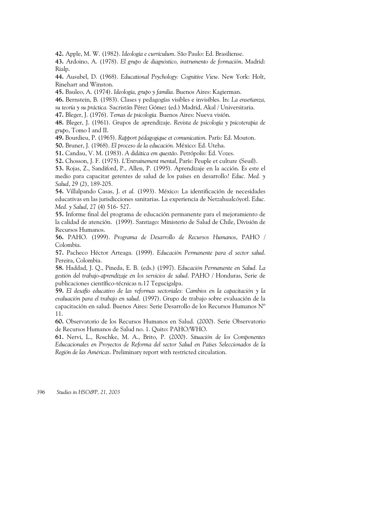**42.** Apple, M. W. (1982). *Ideología e currículum*. São Paulo: Ed. Brasiliense.

**43.** Ardoino, A. (1978). *El grupo de diagnóstico, instrumento de formación*. Madrid: Rialp.

**44.** Ausubel, D. (1968). *Educational Psychology: Cognitive View*. New York: Holt, Rinehart and Winston.

**45.** Bauleo, A. (1974). *Ideología, grupo y familia*. Buenos Aires: Kagierman.

**46.** Bernstein, B. (1983). Clases y pedagogías visibles e invisibles. In: *La enseñanza, su teoría y su práctica.* Sacristán Pérez Gómez (ed.) Madrid, Akal / Universitaria.

**47.** Bleger, J. (1976). *Temas de psicología.* Buenos Aires: Nueva visión.

**48.** Bleger, J. (1961). Grupos de aprendizaje. *Revista de psicología y psicoterapia de grupo*, Tomo I and II.

**49.** Bourdieu, P. (1965). *Rapport pédagogique et comunication.* París: Ed. Mouton.

**50.** Bruner, J. (1968). *El proceso de la educación.* México: Ed. Uteha.

**51.** Candau, V. M. (1983). *A didática em questão*. Petrópolis: Ed. Vozes.

**52.** Chosson, J. F. (1975). *L'Entrainement mental*, París: Peuple et culture (Seuil).

**53.** Rojas, Z., Sandiford, P., Allen, P. (1995). Aprendizaje en la acción. Es este el medio para capacitar gerentes de salud de los países en desarrollo? *Educ. Med. y Salud*, 29 (2), 189-205.

**54.** Villalpando Casas, J. *et al.* (1993). México: La identificación de necesidades educativas en las jurisdicciones sanitarias. La experiencia de Netzahualcóyotl. *Educ. Med. y Salud*, 27 (4) 516- 527.

**55.** Informe final del programa de educación permanente para el mejoramiento de la calidad de atención. (1999). Santiago: Ministerio de Salud de Chile, División de Recursos Humanos.

**56.** PAHO. (1999). *Programa de Desarrollo de Recursos Humanos*, PAHO / Colombia.

**57.** Pacheco Héctor Arteaga. (1999). *Educación Permanente para el sector salud*. Pereira, Colombia.

**58.** Haddad, J. Q., Pineda, E. B. (eds.) (1997). *Educación Permanente en Salud. La gestión del trabajo-aprendizaje en los servicios de salud*. PAHO / Honduras, Serie de publicaciones científico-técnicas n.17 Tegucigalpa.

**59.** *El desafío educativo de las reformas sectoriales: Cambios en la capacitación y la evaluación para el trabajo en salud*. (1997). Grupo de trabajo sobre evaluación de la capacitación en salud. Buenos Aires: Serie Desarrollo de los Recursos Humanos Nº 11.

**60.** Observatorio de los Recursos Humanos en Salud. (2000). Serie Observatorio de Recursos Humanos de Salud no. 1. Quito: PAHO/WHO.

**61.** Nervi, L., Roschke, M. A., Brito, P. (2000). *Situación de los Componentes Educacionales en Proyectos de Reforma del sector Salud en Países Seleccionados de la Región de las Américas*. Preliminary report with restricted circulation.